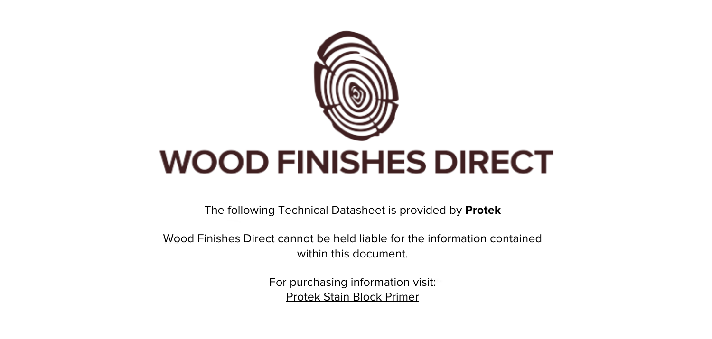

The following Technical Datasheet is provided by **Protek**

Wood Finishes Direct cannot be held liable for the information contained within this document

> For purchasing information visit: [Protek Stain Block Primer](https://www.wood-finishes-direct.com/product/protek-stain-block-primer)